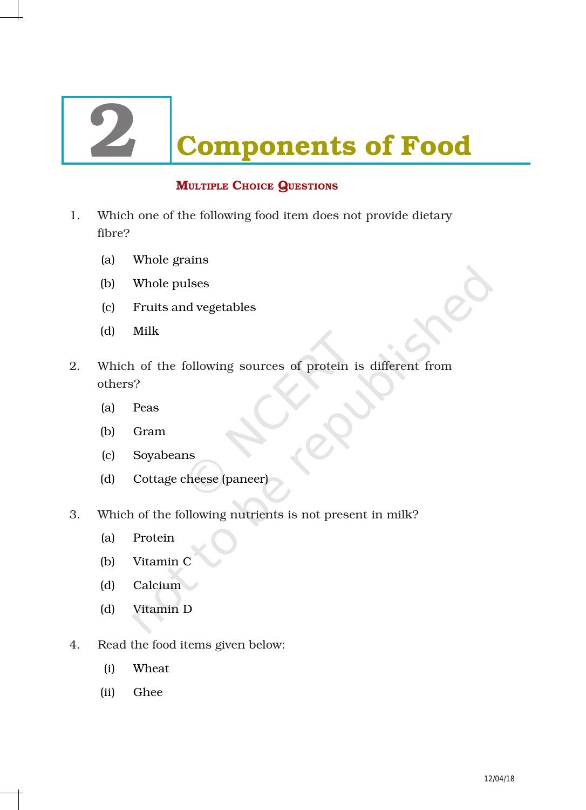# **Components of Food**

# **MULTIPLE CHOICE QUESTIONS**

- 1. Which one of the following food item does not provide dietary fibre?
	- (a) Whole grains
	- (b) Whole pulses
	- (c) Fruits and vegetables
	- (d) Milk
- 2. Which of the following sources of protein is different from others?
	- (a) Peas
	- (b) Gram
	- (c) Soyabeans
	- (d) Cottage cheese (paneer)
- 3. Which of the following nutrients is not present in milk?
	- (a) Protein
	- (b) Vitamin C
	- (d) Calcium
	- (d) Vitamin D
- 4. Read the food items given below:
	- (i) Wheat
	- (ii) Ghee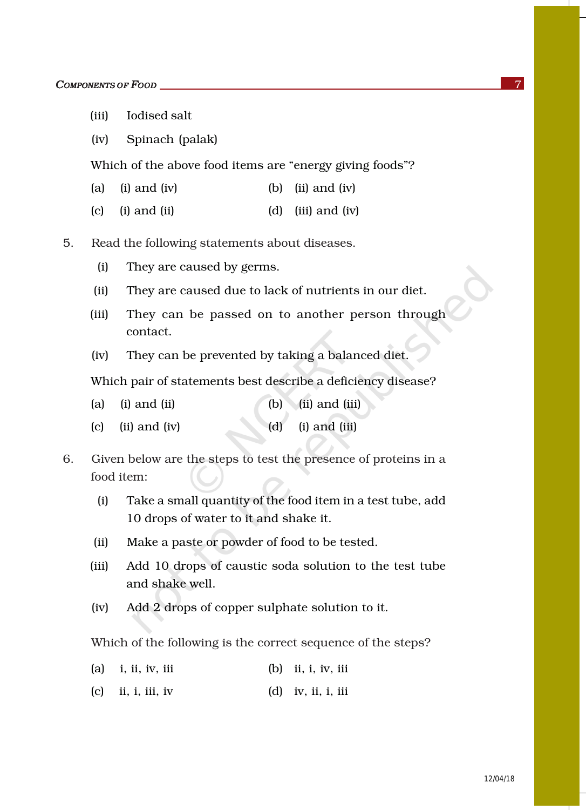- (iii) Iodised salt
- (iv) Spinach (palak)

Which of the above food items are "energy giving foods"?

- (a) (i) and (iv)  $\qquad$  (b) (ii) and (iv)
- (c) (i) and (ii)  $\qquad \qquad$  (d) (iii) and (iv)
- 5. Read the following statements about diseases.
	- (i) They are caused by germs.
	- (ii) They are caused due to lack of nutrients in our diet.
	- (iii) They can be passed on to another person through contact.
	- (iv) They can be prevented by taking a balanced diet.

Which pair of statements best describe a deficiency disease?

- (a) (i) and (ii) (b) (ii) and (iii)
- (c) (ii) and (iv)  $(d)$  (i) and (iii)
- 6. Given below are the steps to test the presence of proteins in a food item:
	- (i) Take a small quantity of the food item in a test tube, add 10 drops of water to it and shake it.
	- (ii) Make a paste or powder of food to be tested.
	- (iii) Add 10 drops of caustic soda solution to the test tube and shake well.
	- (iv) Add 2 drops of copper sulphate solution to it.

Which of the following is the correct sequence of the steps?

- (a) i, ii, iv, iii (b) ii, i, iv, iii
- (c) ii, i, iii, iv (d) iv, ii, i, iii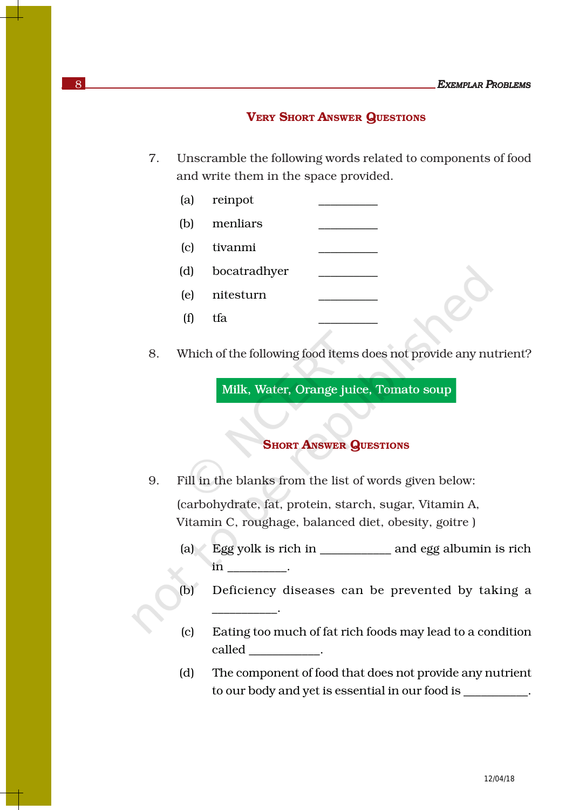#### VERY SHORT ANSWER QUESTIONS

- 7. Unscramble the following words related to components of food and write them in the space provided.
	- (a) reinpot (b) menliars (c) tivanmi \_\_\_\_\_\_\_\_\_\_ (d) bocatradhyer \_\_\_\_\_\_\_\_\_\_ (e) nitesturn \_\_\_\_\_\_\_\_\_\_ (f) tfa  $\qquad \qquad \qquad \qquad$
- 8. Which of the following food items does not provide any nutrient?

Milk, Water, Orange juice, Tomato soup

# **SHORT ANSWER QUESTIONS**

9. Fill in the blanks from the list of words given below: (carbohydrate, fat, protein, starch, sugar, Vitamin A, Vitamin C, roughage, balanced diet, obesity, goitre )

\_\_\_\_\_\_\_\_\_\_\_.

- (a) Egg yolk is rich in \_\_\_\_\_\_\_\_\_\_\_\_ and egg albumin is rich in \_\_\_\_\_\_\_\_\_\_.
- (b) Deficiency diseases can be prevented by taking a
- (c) Eating too much of fat rich foods may lead to a condition called the called the contract of the contract of  $\mathcal{L}$
- (d) The component of food that does not provide any nutrient to our body and yet is essential in our food is \_\_\_\_\_\_\_\_\_\_\_.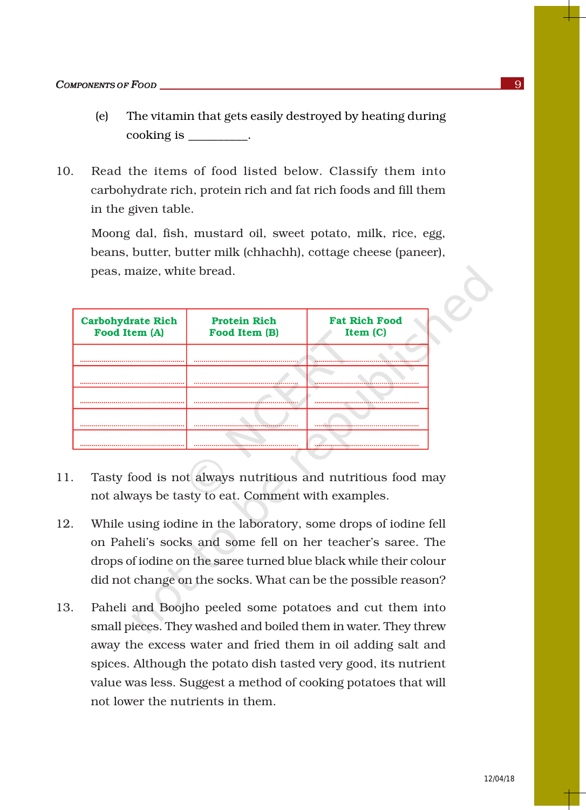- (e) The vitamin that gets easily destroyed by heating during cooking is \_\_\_\_\_\_\_\_\_\_.
- 10. Read the items of food listed below. Classify them into carbohydrate rich, protein rich and fat rich foods and fill them in the given table.

Moong dal, fish, mustard oil, sweet potato, milk, rice, egg, beans, butter, butter milk (chhachh), cottage cheese (paneer), peas, maize, white bread.

| <b>Carbohydrate Rich</b><br>Food Item (A) | <b>Protein Rich</b><br>Food Item (B) | <b>Fat Rich Food</b><br>Item (C) |
|-------------------------------------------|--------------------------------------|----------------------------------|
|                                           |                                      |                                  |
| ---------<br>                             | <br>                                 |                                  |
|                                           |                                      |                                  |
|                                           |                                      |                                  |
|                                           |                                      |                                  |

- 11. Tasty food is not always nutritious and nutritious food may not always be tasty to eat. Comment with examples.
- 12. While using iodine in the laboratory, some drops of iodine fell on Paheli's socks and some fell on her teacher's saree. The drops of iodine on the saree turned blue black while their colour did not change on the socks. What can be the possible reason?
- 13. Paheli and Boojho peeled some potatoes and cut them into small pieces. They washed and boiled them in water. They threw away the excess water and fried them in oil adding salt and spices. Although the potato dish tasted very good, its nutrient value was less. Suggest a method of cooking potatoes that will not lower the nutrients in them.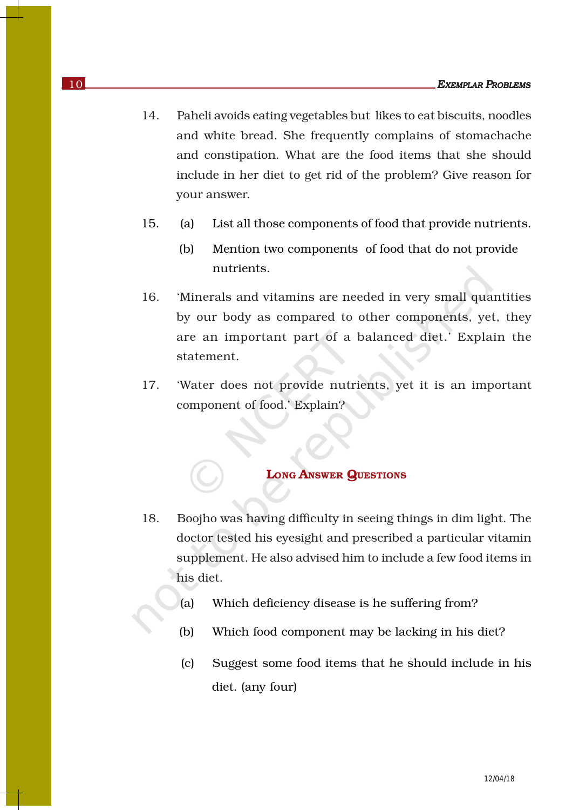- 14. Paheli avoids eating vegetables but likes to eat biscuits, noodles and white bread. She frequently complains of stomachache and constipation. What are the food items that she should include in her diet to get rid of the problem? Give reason for your answer.
- 15. (a) List all those components of food that provide nutrients.
	- (b) Mention two components of food that do not provide nutrients.
- 16. 'Minerals and vitamins are needed in very small quantities by our body as compared to other components, yet, they are an important part of a balanced diet.' Explain the statement.
- 17. 'Water does not provide nutrients, yet it is an important component of food.' Explain?

## LONG ANSWER QUESTIONS

- 18. Boojho was having difficulty in seeing things in dim light. The doctor tested his eyesight and prescribed a particular vitamin supplement. He also advised him to include a few food items in his diet.
	- (a) Which deficiency disease is he suffering from?
	- (b) Which food component may be lacking in his diet?
	- (c) Suggest some food items that he should include in his diet. (any four)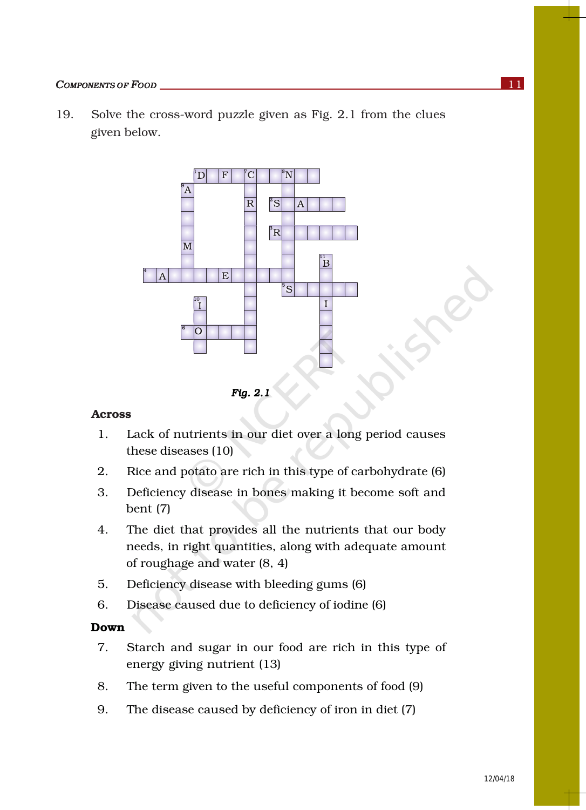#### *COMPONENTS OF FOOD* 11

19. Solve the cross-word puzzle given as Fig. 2.1 from the clues given below.



*Fig. 2.1* 

#### Across

- 1. Lack of nutrients in our diet over a long period causes these diseases (10)
- 2. Rice and potato are rich in this type of carbohydrate (6)
- 3. Deficiency disease in bones making it become soft and bent (7)
- 4. The diet that provides all the nutrients that our body needs, in right quantities, along with adequate amount of roughage and water (8, 4)
- 5. Deficiency disease with bleeding gums (6)
- 6. Disease caused due to deficiency of iodine (6)

#### Down

- 7. Starch and sugar in our food are rich in this type of energy giving nutrient (13)
- 8. The term given to the useful components of food (9)
- 9. The disease caused by deficiency of iron in diet (7)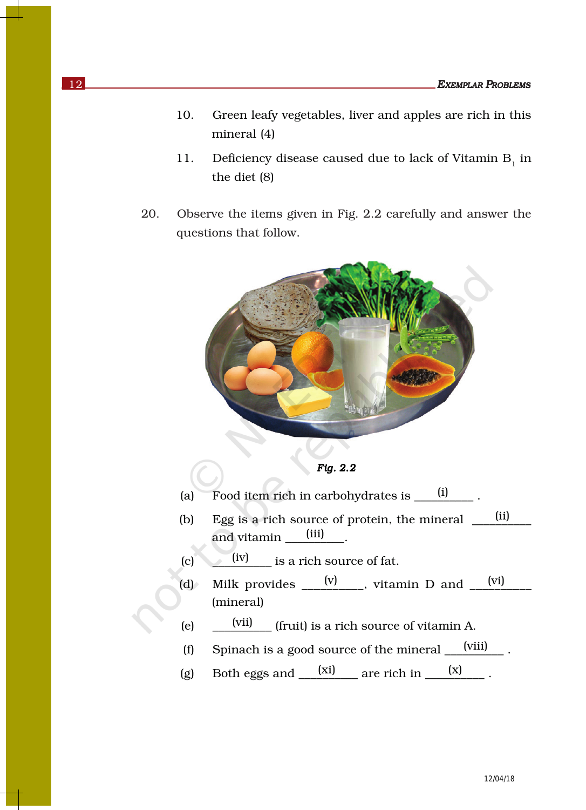- 10. Green leafy vegetables, liver and apples are rich in this mineral (4)
- 11. Deficiency disease caused due to lack of Vitamin  $B_1$  in the diet (8)
- 20. Observe the items given in Fig. 2.2 carefully and answer the questions that follow.